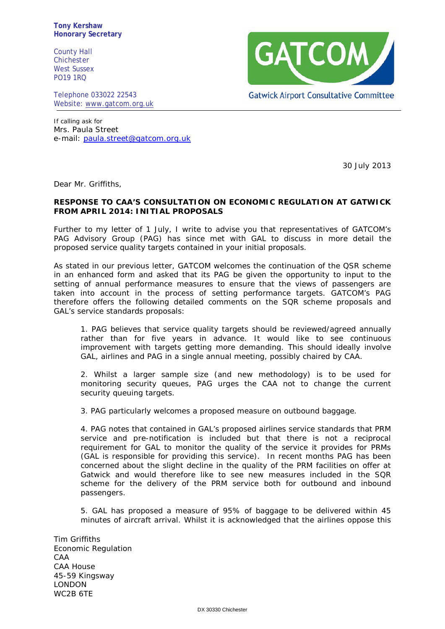**Tony Kershaw Honorary Secretary**

County Hall Chichester West Sussex PO19 1RQ

Telephone 033022 22543 Website: [www.gatcom.org.uk](http://www.gatcom.org.uk/)



If calling ask for Mrs. Paula Street e-mail: [paula.street@gatcom.org.uk](mailto:paula.street@gatcom.org.uk)

30 July 2013

Dear Mr. Griffiths,

## **RESPONSE TO CAA'S CONSULTATION ON ECONOMIC REGULATION AT GATWICK FROM APRIL 2014: INITIAL PROPOSALS**

Further to my letter of 1 July, I write to advise you that representatives of GATCOM's PAG Advisory Group (PAG) has since met with GAL to discuss in more detail the proposed service quality targets contained in your initial proposals.

As stated in our previous letter, GATCOM welcomes the continuation of the QSR scheme in an enhanced form and asked that its PAG be given the opportunity to input to the setting of annual performance measures to ensure that the views of passengers are taken into account in the process of setting performance targets. GATCOM's PAG therefore offers the following detailed comments on the SQR scheme proposals and GAL's service standards proposals:

1. PAG believes that service quality targets should be reviewed/agreed annually rather than for five years in advance. It would like to see continuous improvement with targets getting more demanding. This should ideally involve GAL, airlines and PAG in a single annual meeting, possibly chaired by CAA.

2. Whilst a larger sample size (and new methodology) is to be used for monitoring security queues, PAG urges the CAA not to change the current security queuing targets.

3. PAG particularly welcomes a proposed measure on outbound baggage.

4. PAG notes that contained in GAL's proposed airlines service standards that PRM service and pre-notification is included but that there is not a reciprocal requirement for GAL to monitor the quality of the service it provides for PRMs (GAL is responsible for providing this service). In recent months PAG has been concerned about the slight decline in the quality of the PRM facilities on offer at Gatwick and would therefore like to see new measures included in the SQR scheme for the delivery of the PRM service both for outbound and inbound passengers.

5. GAL has proposed a measure of 95% of baggage to be delivered within 45 minutes of aircraft arrival. Whilst it is acknowledged that the airlines oppose this

Tim Griffiths Economic Regulation CAA CAA House 45-59 Kingsway LONDON WC2B 6TE